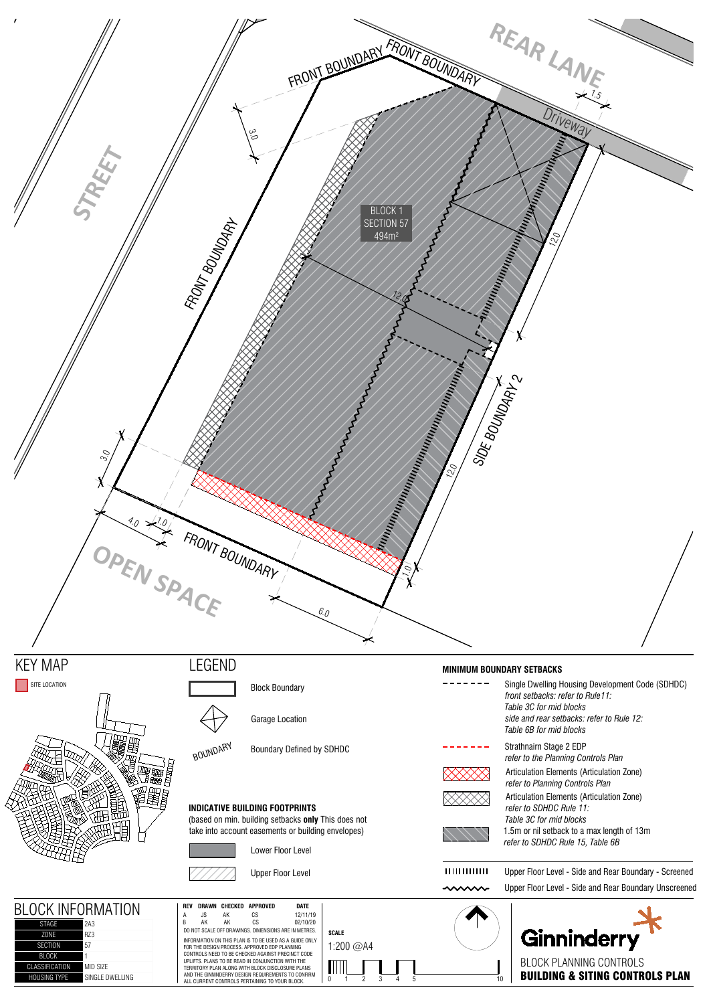